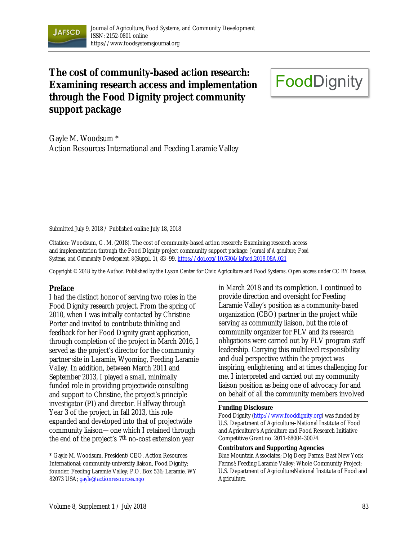

# **The cost of community-based action research: Examining research access and implementation through the Food Dignity project community support package**

# **FoodDignity**

Gayle M. Woodsum \* Action Resources International and Feeding Laramie Valley

Submitted July 9, 2018 / Published online July 18, 2018

Citation: Woodsum, G. M. (2018). The cost of community-based action research: Examining research access and implementation through the Food Dignity project community support package. *Journal of Agriculture, Food Systems, and Community Development, 8*(Suppl. 1), 83–99. https://doi.org/10.5304/jafscd.2018.08A.021

Copyright © 2018 by the Author. Published by the Lyson Center for Civic Agriculture and Food Systems. Open access under CC BY license.

#### **Preface**

I had the distinct honor of serving two roles in the Food Dignity research project. From the spring of 2010, when I was initially contacted by Christine Porter and invited to contribute thinking and feedback for her Food Dignity grant application, through completion of the project in March 2016, I served as the project's director for the community partner site in Laramie, Wyoming, Feeding Laramie Valley. In addition, between March 2011 and September 2013, I played a small, minimally funded role in providing projectwide consulting and support to Christine, the project's principle investigator (PI) and director. Halfway through Year 3 of the project, in fall 2013, this role expanded and developed into that of projectwide community liaison—one which I retained through the end of the project's 7th no-cost extension year

in March 2018 and its completion. I continued to provide direction and oversight for Feeding Laramie Valley's position as a community-based organization (CBO) partner in the project while serving as community liaison, but the role of community organizer for FLV and its research obligations were carried out by FLV program staff leadership. Carrying this multilevel responsibility and dual perspective within the project was inspiring, enlightening, and at times challenging for me. I interpreted and carried out my community liaison position as being one of advocacy for and on behalf of all the community members involved

#### **Funding Disclosure**

Food Dignity (http://www.fooddignity.org) was funded by U.S. Department of Agriculture–National Institute of Food and Agriculture's Agriculture and Food Research Initiative Competitive Grant no. 2011-68004-30074.

#### **Contributors and Supporting Agencies**

Blue Mountain Associates; Dig Deep Farms; East New York Farms!; Feeding Laramie Valley; Whole Community Project; U.S. Department of AgricultureNational Institute of Food and Agriculture.

<sup>\*</sup> Gayle M. Woodsum, President/CEO, Action Resources International; community-university liaison, Food Dignity; founder, Feeding Laramie Valley; P.O. Box 536; Laramie, WY 82073 USA; gayle@actionresources.ngo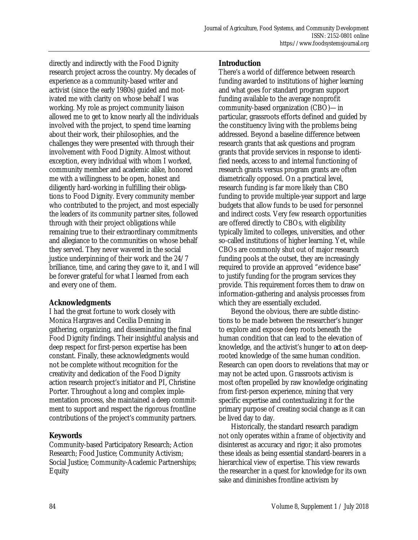directly and indirectly with the Food Dignity research project across the country. My decades of experience as a community-based writer and activist (since the early 1980s) guided and motivated me with clarity on whose behalf I was working. My role as project community liaison allowed me to get to know nearly all the individuals involved with the project, to spend time learning about their work, their philosophies, and the challenges they were presented with through their involvement with Food Dignity. Almost without exception, every individual with whom I worked, community member and academic alike, honored me with a willingness to be open, honest and diligently hard-working in fulfilling their obligations to Food Dignity. Every community member who contributed to the project, and most especially the leaders of its community partner sites, followed through with their project obligations while remaining true to their extraordinary commitments and allegiance to the communities on whose behalf they served. They never wavered in the social justice underpinning of their work and the 24/7 brilliance, time, and caring they gave to it, and I will be forever grateful for what I learned from each and every one of them.

# **Acknowledgments**

I had the great fortune to work closely with Monica Hargraves and Cecilia Denning in gathering, organizing, and disseminating the final Food Dignity findings. Their insightful analysis and deep respect for first-person expertise has been constant. Finally, these acknowledgments would not be complete without recognition for the creativity and dedication of the Food Dignity action research project's initiator and PI, Christine Porter. Throughout a long and complex implementation process, she maintained a deep commitment to support and respect the rigorous frontline contributions of the project's community partners.

# **Keywords**

Community-based Participatory Research; Action Research; Food Justice; Community Activism; Social Justice; Community-Academic Partnerships; Equity

# **Introduction**

There's a world of difference between research funding awarded to institutions of higher learning and what goes for standard program support funding available to the average nonprofit community-based organization (CBO)—in particular, grassroots efforts defined and guided by the constituency living with the problems being addressed. Beyond a baseline difference between research grants that ask questions and program grants that provide services in response to identified needs, access to and internal functioning of research grants versus program grants are often diametrically opposed. On a practical level, research funding is far more likely than CBO funding to provide multiple-year support and large budgets that allow funds to be used for personnel and indirect costs. Very few research opportunities are offered directly to CBOs, with eligibility typically limited to colleges, universities, and other so-called institutions of higher learning. Yet, while CBOs are commonly shut out of major research funding pools at the outset, they are increasingly required to provide an approved "evidence base" to justify funding for the program services they provide. This requirement forces them to draw on information-gathering and analysis processes from which they are essentially excluded.

 Beyond the obvious, there are subtle distinctions to be made between the researcher's hunger to explore and expose deep roots beneath the human condition that can lead to the elevation of knowledge, and the activist's hunger to *act* on deeprooted knowledge of the same human condition. Research can open doors to revelations that may or may not be acted upon. Grassroots activism is most often propelled by raw knowledge originating from first-person experience, mining that very specific expertise and contextualizing it for the primary purpose of creating social change as it can be lived day to day.

 Historically, the standard research paradigm not only operates within a frame of objectivity and disinterest as accuracy and rigor; it also promotes these ideals as being essential standard-bearers in a hierarchical view of expertise. This view rewards the researcher in a quest for knowledge for its own sake and diminishes frontline activism by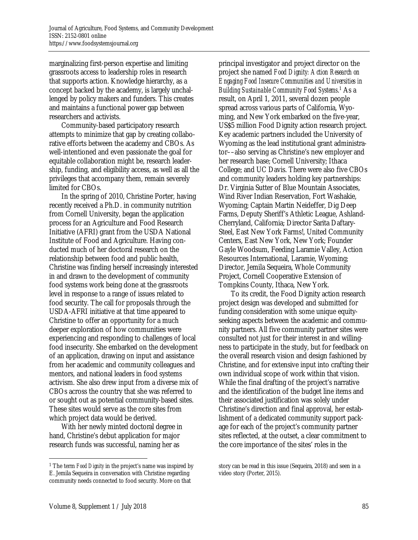marginalizing first-person expertise and limiting grassroots access to leadership roles in research that supports action. Knowledge hierarchy, as a concept backed by the academy, is largely unchallenged by policy makers and funders. This creates and maintains a functional power gap between researchers and activists.

 Community-based participatory research attempts to minimize that gap by creating collaborative efforts between the academy and CBOs. As well-intentioned and even passionate the goal for equitable collaboration might be, research leadership, funding, and eligibility access, as well as all the privileges that accompany them, remain severely limited for CBOs.

 In the spring of 2010, Christine Porter, having recently received a Ph.D. in community nutrition from Cornell University, began the application process for an Agriculture and Food Research Initiative (AFRI) grant from the USDA National Institute of Food and Agriculture. Having conducted much of her doctoral research on the relationship between food and public health, Christine was finding herself increasingly interested in and drawn to the development of community food systems work being done at the grassroots level in response to a range of issues related to food security. The call for proposals through the USDA-AFRI initiative at that time appeared to Christine to offer an opportunity for a much deeper exploration of how communities were experiencing and responding to challenges of local food insecurity. She embarked on the development of an application, drawing on input and assistance from her academic and community colleagues and mentors, and national leaders in food systems activism. She also drew input from a diverse mix of CBOs across the country that she was referred to or sought out as potential community-based sites. These sites would serve as the core sites from which project data would be derived.

 With her newly minted doctoral degree in hand, Christine's debut application for major research funds was successful, naming her as

principal investigator and project director on the project she named *Food Dignity: Action Research on Engaging Food Insecure Communities and Universities in*  Building Sustainable Community Food Systems.<sup>1</sup> As a result, on April 1, 2011, several dozen people spread across various parts of California, Wyoming, and New York embarked on the five-year, US\$5 million Food Dignity action research project*.* Key academic partners included the University of Wyoming as the lead institutional grant administrator––also serving as Christine's new employer and her research base; Cornell University; Ithaca College; and UC Davis. There were also five CBOs and community leaders holding key partnerships: Dr. Virginia Sutter of Blue Mountain Associates, Wind River Indian Reservation, Fort Washakie, Wyoming; Captain Martin Neideffer, Dig Deep Farms, Deputy Sheriff's Athletic League, Ashland-Cherryland, California; Director Sarita Daftary-Steel, East New York Farms!, United Community Centers, East New York, New York; Founder Gayle Woodsum, Feeding Laramie Valley, Action Resources International, Laramie, Wyoming; Director, Jemila Sequeira, Whole Community Project, Cornell Cooperative Extension of Tompkins County, Ithaca, New York.

 To its credit, the Food Dignity action research project design was developed and submitted for funding consideration with some unique equityseeking aspects between the academic and community partners. All five community partner sites were consulted not just for their interest in and willingness to participate in the study, but for feedback on the overall research vision and design fashioned by Christine, and for extensive input into crafting their own individual scope of work within that vision. While the final drafting of the project's narrative and the identification of the budget line items and their associated justification was solely under Christine's direction and final approval, her establishment of a dedicated community support package for each of the project's community partner sites reflected, at the outset, a clear commitment to the core importance of the sites' roles in the

 $\overline{a}$ 

<sup>1</sup> The term *Food Dignity* in the project's name was inspired by E. Jemila Sequeira in conversation with Christine regarding community needs connected to food security. More on that

story can be read in this issue (Sequeira, 2018) and seen in a video story (Porter, 2015).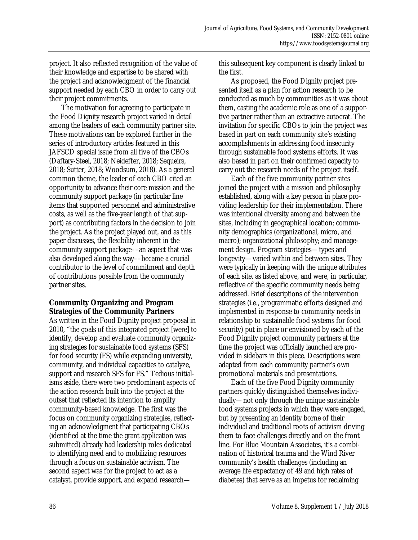project. It also reflected recognition of the value of their knowledge and expertise to be shared with the project and acknowledgment of the financial support needed by each CBO in order to carry out their project commitments.

 The motivation for agreeing to participate in the Food Dignity research project varied in detail among the leaders of each community partner site. These motivations can be explored further in the series of introductory articles featured in this JAFSCD special issue from all five of the CBOs (Daftary-Steel, 2018; Neideffer, 2018; Sequeira, 2018; Sutter, 2018; Woodsum, 2018). As a general common theme, the leader of each CBO cited an opportunity to advance their core mission and the community support package (in particular line items that supported personnel and administrative costs, as well as the five-year length of that support) as contributing factors in the decision to join the project. As the project played out, and as this paper discusses, the flexibility inherent in the community support package––an aspect that was also developed along the way––became a crucial contributor to the level of commitment and depth of contributions possible from the community partner sites.

# **Community Organizing and Program Strategies of the Community Partners**

As written in the Food Dignity project proposal in 2010, "the goals of this integrated project [were] to identify, develop and evaluate community organizing strategies for sustainable food systems (SFS) for food security (FS) while expanding university, community, and individual capacities to catalyze, support and research SFS for FS." Tedious initialisms aside, there were two predominant aspects of the action research built into the project at the outset that reflected its intention to amplify community-based knowledge. The first was the focus on community organizing strategies, reflecting an acknowledgment that participating CBOs (identified at the time the grant application was submitted) already had leadership roles dedicated to identifying need and to mobilizing resources through a focus on sustainable activism. The second aspect was for the project to act as a catalyst, provide support, and expand researchthis subsequent key component is clearly linked to the first.

 As proposed, the Food Dignity project presented itself as a plan for action research to be conducted as much by communities as it was about them, casting the academic role as one of a supportive partner rather than an extractive autocrat. The invitation for specific CBOs to join the project was based in part on each community site's existing accomplishments in addressing food insecurity through sustainable food systems efforts. It was also based in part on their confirmed capacity to carry out the research needs of the project itself.

 Each of the five community partner sites joined the project with a mission and philosophy established, along with a key person in place providing leadership for their implementation. There was intentional diversity among and between the sites, including in geographical location; community demographics (organizational, micro, and macro); organizational philosophy; and management design. Program strategies—types and longevity—varied within and between sites. They were typically in keeping with the unique attributes of each site, as listed above, and were, in particular, reflective of the specific community needs being addressed. Brief descriptions of the intervention strategies (i.e., programmatic efforts designed and implemented in response to community needs in relationship to sustainable food systems for food security) put in place or envisioned by each of the Food Dignity project community partners at the time the project was officially launched are provided in sidebars in this piece. Descriptions were adapted from each community partner's own promotional materials and presentations.

 Each of the five Food Dignity community partners quickly distinguished themselves individually—not only through the unique sustainable food systems projects in which they were engaged, but by presenting an identity borne of their individual and traditional roots of activism driving them to face challenges directly and on the front line. For Blue Mountain Associates, it's a combination of historical trauma and the Wind River community's health challenges (including an average life expectancy of 49 and high rates of diabetes) that serve as an impetus for reclaiming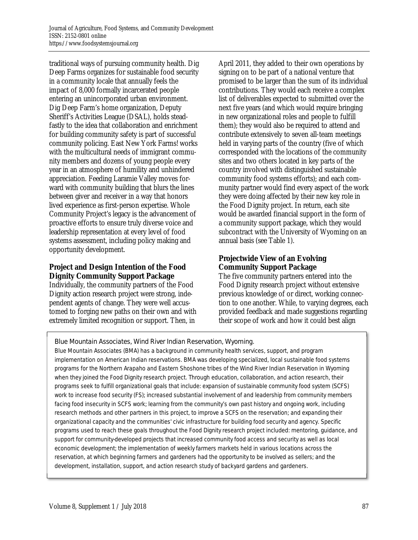traditional ways of pursuing community health. Dig Deep Farms organizes for sustainable food security in a community locale that annually feels the impact of 8,000 formally incarcerated people entering an unincorporated urban environment. Dig Deep Farm's home organization, Deputy Sheriff's Activities League (DSAL), holds steadfastly to the idea that collaboration and enrichment for building community safety is part of successful community policing. East New York Farms! works with the multicultural needs of immigrant community members and dozens of young people every year in an atmosphere of humility and unhindered appreciation. Feeding Laramie Valley moves forward with community building that blurs the lines between giver and receiver in a way that honors lived experience as first-person expertise. Whole Community Project's legacy is the advancement of proactive efforts to ensure truly diverse voice and leadership representation at every level of food systems assessment, including policy making and opportunity development.

# **Project and Design Intention of the Food Dignity Community Support Package**

Individually, the community partners of the Food Dignity action research project were strong, independent agents of change. They were well accustomed to forging new paths on their own and with extremely limited recognition or support. Then, in

April 2011, they added to their own operations by signing on to be part of a national venture that promised to be larger than the sum of its individual contributions. They would each receive a complex list of deliverables expected to submitted over the next five years (and which would require bringing in new organizational roles and people to fulfill them); they would also be required to attend and contribute extensively to seven all-team meetings held in varying parts of the country (five of which corresponded with the locations of the community sites and two others located in key parts of the country involved with distinguished sustainable community food systems efforts); and each community partner would find every aspect of the work they were doing affected by their new key role in the Food Dignity project. In return, each site would be awarded financial support in the form of a community support package, which they would subcontract with the University of Wyoming on an annual basis (see Table 1).

# **Projectwide View of an Evolving Community Support Package**

The five community partners entered into the Food Dignity research project without extensive previous knowledge of or direct, working connection to one another. While, to varying degrees, each provided feedback and made suggestions regarding their scope of work and how it could best align

Blue Mountain Associates, Wind River Indian Reservation, Wyoming.

Blue Mountain Associates (BMA) has a background in community health services, support, and program implementation on American Indian reservations. BMA was developing specialized, local sustainable food systems programs for the Northern Arapaho and Eastern Shoshone tribes of the Wind River Indian Reservation in Wyoming when they joined the Food Dignity research project. Through education, collaboration, and action research, their programs seek to fulfill organizational goals that include: expansion of sustainable community food system (SCFS) work to increase food security (FS); increased substantial involvement of and leadership from community members facing food insecurity in SCFS work; learning from the community's own past history and ongoing work, including research methods and other partners in this project, to improve a SCFS on the reservation; and expanding their organizational capacity and the communities' civic infrastructure for building food security and agency. Specific programs used to reach these goals throughout the Food Dignity research project included: mentoring, guidance, and support for community-developed projects that increased community food access and security as well as local economic development; the implementation of weekly farmers markets held in various locations across the reservation, at which beginning farmers and gardeners had the opportunity to be involved as sellers; and the development, installation, support, and action research study of backyard gardens and gardeners.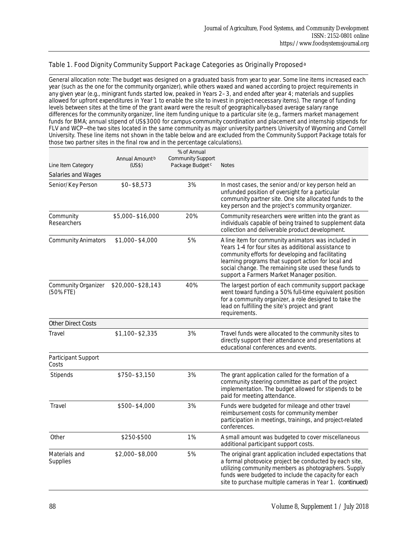#### Table 1. Food Dignity Community Support Package Categories as Originally Proposed<sup>a</sup>

General allocation note: The budget was designed on a graduated basis from year to year. Some line items increased each year (such as the one for the community organizer), while others waxed and waned according to project requirements in any given year (e.g., minigrant funds started low, peaked in Years 2–3, and ended after year 4; materials and supplies allowed for upfront expenditures in Year 1 to enable the site to invest in project-necessary items). The range of funding levels between sites at the time of the grant award were the result of geographically-based average salary range differences for the community organizer, line item funding unique to a particular site (e.g., farmers market management funds for BMA; annual stipend of US\$3000 for campus-community coordination and placement and internship stipends for FLV and WCP—the two sites located in the same community as major university partners University of Wyoming and Cornell University. These line items not shown in the table below and are excluded from the Community Support Package totals for those two partner sites in the final row and in the percentage calculations).

| Line Item Category<br>Salaries and Wages | Annual Amount <sup>b</sup><br>(US\$) | % of Annual<br><b>Community Support</b><br>Package Budget <sup>c</sup> | <b>Notes</b>                                                                                                                                                                                                                                                                                                                   |
|------------------------------------------|--------------------------------------|------------------------------------------------------------------------|--------------------------------------------------------------------------------------------------------------------------------------------------------------------------------------------------------------------------------------------------------------------------------------------------------------------------------|
| Senior/Key Person                        | \$0-\$8,573                          | 3%                                                                     | In most cases, the senior and/or key person held an<br>unfunded position of oversight for a particular<br>community partner site. One site allocated funds to the<br>key person and the project's community organizer.                                                                                                         |
| Community<br>Researchers                 | \$5,000-\$16,000                     | 20%                                                                    | Community researchers were written into the grant as<br>individuals capable of being trained to supplement data<br>collection and deliverable product development.                                                                                                                                                             |
| <b>Community Animators</b>               | \$1,000-\$4,000                      | 5%                                                                     | A line item for community animators was included in<br>Years 1-4 for four sites as additional assistance to<br>community efforts for developing and facilitating<br>learning programs that support action for local and<br>social change. The remaining site used these funds to<br>support a Farmers Market Manager position. |
| Community Organizer<br>(50% FTE)         | \$20,000-\$28,143                    | 40%                                                                    | The largest portion of each community support package<br>went toward funding a 50% full-time equivalent position<br>for a community organizer, a role designed to take the<br>lead on fulfilling the site's project and grant<br>requirements.                                                                                 |
| <b>Other Direct Costs</b>                |                                      |                                                                        |                                                                                                                                                                                                                                                                                                                                |
| Travel                                   | \$1,100-\$2,335                      | 3%                                                                     | Travel funds were allocated to the community sites to<br>directly support their attendance and presentations at<br>educational conferences and events.                                                                                                                                                                         |
| Participant Support<br>Costs             |                                      |                                                                        |                                                                                                                                                                                                                                                                                                                                |
| Stipends                                 | \$750-\$3,150                        | 3%                                                                     | The grant application called for the formation of a<br>community steering committee as part of the project<br>implementation. The budget allowed for stipends to be<br>paid for meeting attendance.                                                                                                                            |
| Travel                                   | \$500-\$4,000                        | 3%                                                                     | Funds were budgeted for mileage and other travel<br>reimbursement costs for community member<br>participation in meetings, trainings, and project-related<br>conferences.                                                                                                                                                      |
| Other                                    | \$250-\$500                          | 1%                                                                     | A small amount was budgeted to cover miscellaneous<br>additional participant support costs.                                                                                                                                                                                                                                    |
| Materials and<br>Supplies                | \$2,000-\$8,000                      | 5%                                                                     | The original grant application included expectations that<br>a formal photovoice project be conducted by each site,<br>utilizing community members as photographers. Supply<br>funds were budgeted to include the capacity for each<br>site to purchase multiple cameras in Year 1. (continued)                                |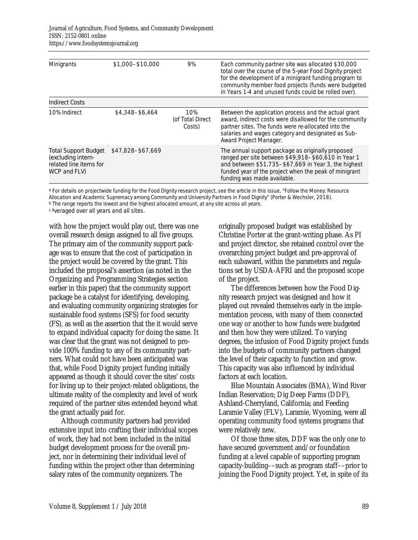| Minigrants                                                                           | \$1,000-\$10,000  | 9%                                | Each community partner site was allocated \$30,000<br>total over the course of the 5-year Food Dignity project<br>for the development of a minigrant funding program to<br>community member food projects (funds were budgeted<br>in Years 1-4 and unused funds could be rolled over). |
|--------------------------------------------------------------------------------------|-------------------|-----------------------------------|----------------------------------------------------------------------------------------------------------------------------------------------------------------------------------------------------------------------------------------------------------------------------------------|
| Indirect Costs                                                                       |                   |                                   |                                                                                                                                                                                                                                                                                        |
| 10% Indirect                                                                         | \$4,348-\$6,464   | 10%<br>(of Total Direct<br>Costs) | Between the application process and the actual grant<br>award, indirect costs were disallowed for the community<br>partner sites. The funds were re-allocated into the<br>salaries and wages category and designated as Sub-<br>Award Project Manager.                                 |
| Total Support Budget<br>(excluding intern-<br>related line items for<br>WCP and FLV) | \$47,828-\$67,669 |                                   | The annual support package as originally proposed<br>ranged per site between \$49,918-\$60,610 in Year 1<br>and between \$51,735-\$67,669 in Year 3, the highest<br>funded year of the project when the peak of minigrant<br>funding was made available.                               |

a For details on projectwide funding for the Food Dignity research project, see the article in this issue, "Follow the Money: Resource Allocation and Academic Supremacy among Community and University Partners in Food Dignity" (Porter & Wechsler, 2018). b The range reports the lowest and the highest allocated amount, at any site across all years.

c Averaged over all years and all sites.

with how the project would play out, there was one overall research design assigned to all five groups. The primary aim of the community support package was to ensure that the cost of participation in the project would be covered by the grant. This included the proposal's assertion (as noted in the Organizing and Programming Strategies section earlier in this paper) that the community support package be a catalyst for identifying, developing, and evaluating community organizing strategies for sustainable food systems (SFS) for food security (FS), as well as the assertion that the it would serve to expand individual capacity for doing the same. It was clear that the grant was not designed to provide 100% funding to any of its community partners. What could not have been anticipated was that, while Food Dignity project funding initially appeared as though it should cover the sites' costs for living up to their project-related obligations, the ultimate reality of the complexity and level of work required of the partner sites extended beyond what the grant actually paid for.

 Although community partners had provided extensive input into crafting their individual scopes of work, they had not been included in the initial budget development process for the overall project, nor in determining their individual level of funding within the project other than determining salary rates of the community organizers. The

originally proposed budget was established by Christine Porter at the grant-writing phase. As PI and project director, she retained control over the overarching project budget and pre-approval of each subaward, within the parameters and regulations set by USDA-AFRI and the proposed scope of the project.

 The differences between how the Food Dignity research project was designed and how it played out revealed themselves early in the implementation process, with many of them connected one way or another to how funds were budgeted and then how they were utilized. To varying degrees, the infusion of Food Dignity project funds into the budgets of community partners changed the level of their capacity to function and grow. This capacity was also influenced by individual factors at each location.

 Blue Mountain Associates (BMA), Wind River Indian Reservation; Dig Deep Farms (DDF), Ashland-Cherryland, California; and Feeding Laramie Valley (FLV), Laramie, Wyoming, were all operating community food systems programs that were relatively new.

 Of those three sites, DDF was the only one to have secured government and/or foundation funding at a level capable of supporting program capacity-building––such as program staff––prior to joining the Food Dignity project. Yet, in spite of its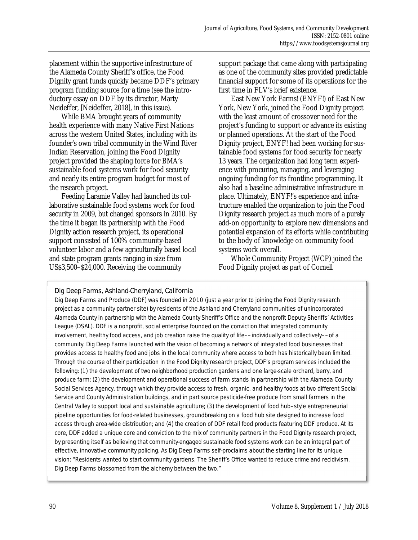placement within the supportive infrastructure of the Alameda County Sheriff's office, the Food Dignity grant funds quickly became DDF's primary program funding source for a time (see the introductory essay on DDF by its director, Marty Neideffer, [Neideffer, 2018], in this issue).

 While BMA brought years of community health experience with many Native First Nations across the western United States, including with its founder's own tribal community in the Wind River Indian Reservation, joining the Food Dignity project provided the shaping force for BMA's sustainable food systems work for food security and nearly its entire program budget for most of the research project.

 Feeding Laramie Valley had launched its collaborative sustainable food systems work for food security in 2009, but changed sponsors in 2010. By the time it began its partnership with the Food Dignity action research project, its operational support consisted of 100% community-based volunteer labor and a few agriculturally based local and state program grants ranging in size from US\$3,500–\$24,000. Receiving the community

support package that came along with participating as one of the community sites provided predictable financial support for some of its operations for the first time in FLV's brief existence.

 East New York Farms! (ENYF!) of East New York, New York, joined the Food Dignity project with the least amount of crossover need for the project's funding to support or advance its existing or planned operations. At the start of the Food Dignity project, ENYF! had been working for sustainable food systems for food security for nearly 13 years. The organization had long term experience with procuring, managing, and leveraging ongoing funding for its frontline programming. It also had a baseline administrative infrastructure in place. Ultimately, ENYF!'s experience and infratructure enabled the organization to join the Food Dignity research project as much more of a purely add-on opportunity to explore new dimensions and potential expansion of its efforts while contributing to the body of knowledge on community food systems work overall.

 Whole Community Project (WCP) joined the Food Dignity project as part of Cornell

Dig Deep Farms, Ashland-Cherryland, California

Dig Deep Farms and Produce (DDF) was founded in 2010 (just a year prior to joining the Food Dignity research project as a community partner site) by residents of the Ashland and Cherryland communities of unincorporated Alameda County in partnership with the Alameda County Sheriff's Office and the nonprofit Deputy Sheriffs' Activities League (DSAL). DDF is a nonprofit, social enterprise founded on the conviction that integrated community involvement, healthy food access, and job creation raise the quality of life––individually and collectively––of a community. Dig Deep Farms launched with the vision of becoming a network of integrated food businesses that provides access to healthy food and jobs in the local community where access to both has historically been limited. Through the course of their participation in the Food Dignity research project, DDF's program services included the following: (1) the development of two neighborhood production gardens and one large-scale orchard, berry, and produce farm; (2) the development and operational success of farm stands in partnership with the Alameda County Social Services Agency, through which they provide access to fresh, organic, and healthy foods at two different Social Service and County Administration buildings, and in part source pesticide-free produce from small farmers in the Central Valley to support local and sustainable agriculture; (3) the development of food hub–style entrepreneurial pipeline opportunities for food-related businesses, groundbreaking on a food hub site designed to increase food access through area-wide distribution; and (4) the creation of DDF retail food products featuring DDF produce. At its core, DDF added a unique core and conviction to the mix of community partners in the Food Dignity research project, by presenting itself as believing that community-engaged sustainable food systems work can be an integral part of effective, innovative community policing. As Dig Deep Farms self-proclaims about the starting line for its unique vision: "Residents wanted to start community gardens. The Sheriff's Office wanted to reduce crime and recidivism. Dig Deep Farms blossomed from the alchemy between the two."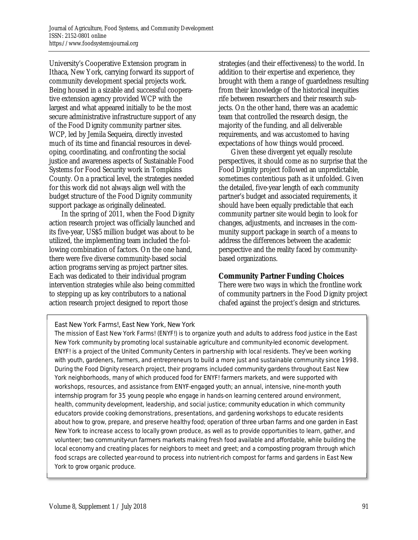University's Cooperative Extension program in Ithaca, New York, carrying forward its support of community development special projects work. Being housed in a sizable and successful cooperative extension agency provided WCP with the largest and what appeared initially to be the most secure administrative infrastructure support of any of the Food Dignity community partner sites. WCP, led by Jemila Sequeira, directly invested much of its time and financial resources in developing, coordinating, and confronting the social justice and awareness aspects of Sustainable Food Systems for Food Security work in Tompkins County. On a practical level, the strategies needed for this work did not always align well with the budget structure of the Food Dignity community support package as originally delineated.

 In the spring of 2011, when the Food Dignity action research project was officially launched and its five-year, US\$5 million budget was about to be utilized, the implementing team included the following combination of factors. On the one hand, there were five diverse community-based social action programs serving as project partner sites. Each was dedicated to their individual program intervention strategies while also being committed to stepping up as key contributors to a national action research project designed to report those

strategies (and their effectiveness) to the world. In addition to their expertise and experience, they brought with them a range of guardedness resulting from their knowledge of the historical inequities rife between researchers and their research subjects. On the other hand, there was an academic team that controlled the research design, the majority of the funding, and all deliverable requirements, and was accustomed to having expectations of how things would proceed.

 Given these divergent yet equally resolute perspectives, it should come as no surprise that the Food Dignity project followed an unpredictable, sometimes contentious path as it unfolded. Given the detailed, five-year length of each community partner's budget and associated requirements, it should have been equally predictable that each community partner site would begin to look for changes, adjustments, and increases in the community support package in search of a means to address the differences between the academic perspective and the reality faced by communitybased organizations.

# **Community Partner Funding Choices**

There were two ways in which the frontline work of community partners in the Food Dignity project chafed against the project's design and strictures.

East New York Farms!, East New York, New York

The mission of East New York Farms! (ENYF!) is to organize youth and adults to address food justice in the East New York community by promoting local sustainable agriculture and community-led economic development. ENYF! is a project of the United Community Centers in partnership with local residents. They've been working with youth, gardeners, farmers, and entrepreneurs to build a more just and sustainable community since 1998. During the Food Dignity research project, their programs included community gardens throughout East New York neighborhoods, many of which produced food for ENYF! farmers markets, and were supported with workshops, resources, and assistance from ENYF-engaged youth; an annual, intensive, nine-month youth internship program for 35 young people who engage in hands-on learning centered around environment, health, community development, leadership, and social justice; community education in which community educators provide cooking demonstrations, presentations, and gardening workshops to educate residents about how to grow, prepare, and preserve healthy food; operation of three urban farms and one garden in East New York to increase access to locally grown produce, as well as to provide opportunities to learn, gather, and volunteer; two community-run farmers markets making fresh food available and affordable, while building the local economy and creating places for neighbors to meet and greet; and a composting program through which food scraps are collected year-round to process into nutrient-rich compost for farms and gardens in East New York to grow organic produce.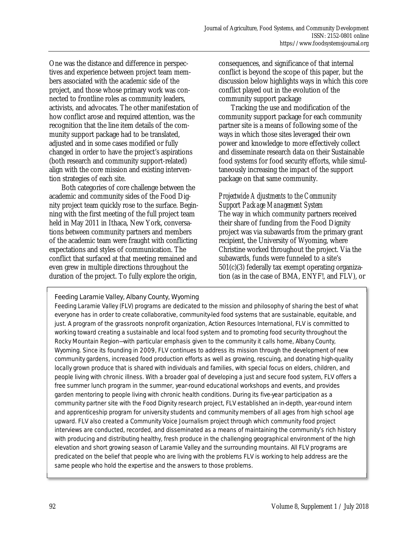One was the distance and difference in perspectives and experience between project team members associated with the academic side of the project, and those whose primary work was connected to frontline roles as community leaders, activists, and advocates. The other manifestation of how conflict arose and required attention, was the recognition that the line item details of the community support package had to be translated, adjusted and in some cases modified or fully changed in order to have the project's aspirations (both research and community support-related) align with the core mission and existing intervention strategies of each site.

 Both categories of core challenge between the academic and community sides of the Food Dignity project team quickly rose to the surface. Beginning with the first meeting of the full project team held in May 2011 in Ithaca, New York, conversations between community partners and members of the academic team were fraught with conflicting expectations and styles of communication. The conflict that surfaced at that meeting remained and even grew in multiple directions throughout the duration of the project. To fully explore the origin,

consequences, and significance of that internal conflict is beyond the scope of this paper, but the discussion below highlights ways in which this core conflict played out in the evolution of the community support package

 Tracking the use and modification of the community support package for each community partner site is a means of following some of the ways in which those sites leveraged their own power and knowledge to more effectively collect and disseminate research data on their Sustainable food systems for food security efforts, while simultaneously increasing the impact of the support package on that same community.

## *Projectwide Adjustments to the Community Support Package Management System*

The way in which community partners received their share of funding from the Food Dignity project was via subawards from the primary grant recipient, the University of Wyoming, where Christine worked throughout the project. Via the subawards, funds were funneled to a site's 501(c)(3) federally tax exempt operating organization (as in the case of BMA, ENYF!, and FLV), or

Feeding Laramie Valley, Albany County, Wyoming Feeding Laramie Valley (FLV) programs are dedicated to the mission and philosophy of sharing the best of what everyone has in order to create collaborative, community-led food systems that are sustainable, equitable, and just. A program of the grassroots nonprofit organization, Action Resources International, FLV is committed to working toward creating a sustainable and local food system and to promoting food security throughout the Rocky Mountain Region—with particular emphasis given to the community it calls home, Albany County, Wyoming. Since its founding in 2009, FLV continues to address its mission through the development of new community gardens, increased food production efforts as well as growing, rescuing, and donating high-quality locally grown produce that is shared with individuals and families, with special focus on elders, children, and people living with chronic illness. With a broader goal of developing a just and secure food system, FLV offers a free summer lunch program in the summer, year-round educational workshops and events, and provides garden mentoring to people living with chronic health conditions. During its five-year participation as a community partner site with the Food Dignity research project, FLV established an in-depth, year-round intern and apprenticeship program for university students and community members of all ages from high school age upward. FLV also created a Community Voice Journalism project through which community food project interviews are conducted, recorded, and disseminated as a means of maintaining the community's rich history with producing and distributing healthy, fresh produce in the challenging geographical environment of the high elevation and short growing season of Laramie Valley and the surrounding mountains. All FLV programs are predicated on the belief that people who are living with the problems FLV is working to help address are the same people who hold the expertise and the answers to those problems.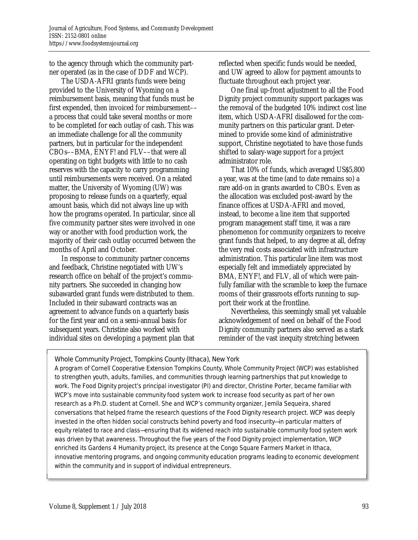to the agency through which the community partner operated (as in the case of DDF and WCP).

 The USDA-AFRI grants funds were being provided to the University of Wyoming on a reimbursement basis, meaning that funds must be first expended, then invoiced for reimbursement–– a process that could take several months or more to be completed for each outlay of cash. This was an immediate challenge for all the community partners, but in particular for the independent CBOs––BMA, ENYF! and FLV––that were all operating on tight budgets with little to no cash reserves with the capacity to carry programming until reimbursements were received. On a related matter, the University of Wyoming (UW) was proposing to release funds on a quarterly, equal amount basis, which did not always line up with how the programs operated. In particular, since all five community partner sites were involved in one way or another with food production work, the majority of their cash outlay occurred between the months of April and October.

 In response to community partner concerns and feedback, Christine negotiated with UW's research office on behalf of the project's community partners. She succeeded in changing how subawarded grant funds were distributed to them. Included in their subaward contracts was an agreement to advance funds on a quarterly basis for the first year and on a semi-annual basis for subsequent years. Christine also worked with individual sites on developing a payment plan that reflected when specific funds would be needed, and UW agreed to allow for payment amounts to fluctuate throughout each project year.

 One final up-front adjustment to all the Food Dignity project community support packages was the removal of the budgeted 10% indirect cost line item, which USDA-AFRI disallowed for the community partners on this particular grant. Determined to provide some kind of administrative support, Christine negotiated to have those funds shifted to salary-wage support for a project administrator role.

 That 10% of funds, which averaged US\$5,800 a year, was at the time (and to date remains so) a rare add-on in grants awarded to CBOs. Even as the allocation was excluded post-award by the finance offices at USDA-AFRI and moved, instead, to become a line item that supported program management staff time, it was a rare phenomenon for community organizers to receive grant funds that helped, to any degree at all, defray the very real costs associated with infrastructure administration. This particular line item was most especially felt and immediately appreciated by BMA, ENYF!, and FLV, all of which were painfully familiar with the scramble to keep the furnace rooms of their grassroots efforts running to support their work at the frontline.

 Nevertheless, this seemingly small yet valuable acknowledgement of need on behalf of the Food Dignity community partners also served as a stark reminder of the vast inequity stretching between

Whole Community Project, Tompkins County (Ithaca), New York

A program of Cornell Cooperative Extension Tompkins County, Whole Community Project (WCP) was established to strengthen youth, adults, families, and communities through learning partnerships that put knowledge to work. The Food Dignity project's principal investigator (PI) and director, Christine Porter, became familiar with WCP's move into sustainable community food system work to increase food security as part of her own research as a Ph.D. student at Cornell. She and WCP's community organizer, Jemila Sequeira, shared conversations that helped frame the research questions of the Food Dignity research project. WCP was deeply invested in the often hidden social constructs behind poverty and food insecurity—in particular matters of equity related to race and class—ensuring that its widened reach into sustainable community food system work was driven by that awareness. Throughout the five years of the Food Dignity project implementation, WCP enriched its Gardens 4 Humanity project, its presence at the Congo Square Farmers Market in Ithaca, innovative mentoring programs, and ongoing community education programs leading to economic development within the community and in support of individual entrepreneurs.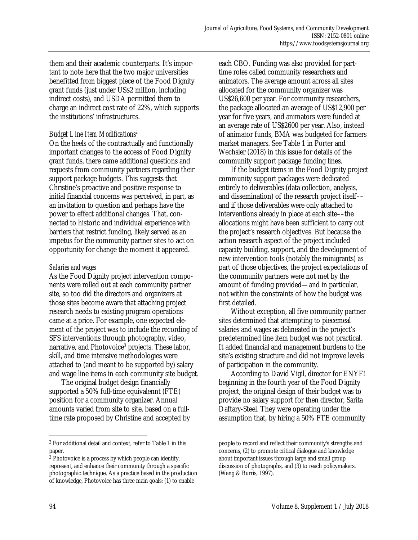them and their academic counterparts. It's important to note here that the two major universities benefitted from biggest piece of the Food Dignity grant funds (just under US\$2 million, including indirect costs), and USDA permitted them to charge an indirect cost rate of 22%, which supports the institutions' infrastructures.

# *Budget Line Item Modifications2*

On the heels of the contractually and functionally important changes to the access of Food Dignity grant funds, there came additional questions and requests from community partners regarding their support package budgets. This suggests that Christine's proactive and positive response to initial financial concerns was perceived, in part, as an invitation to question and perhaps have the power to effect additional changes. That, connected to historic and individual experience with barriers that restrict funding, likely served as an impetus for the community partner sites to act on opportunity for change the moment it appeared.

# *Salaries and wages*

As the Food Dignity project intervention components were rolled out at each community partner site, so too did the directors and organizers at those sites become aware that attaching project research needs to existing program operations came at a price. For example, one expected element of the project was to include the recording of SFS interventions through photography, video, narrative, and Photovoice<sup>3</sup> projects. These labor, skill, and time intensive methodologies were attached to (and meant to be supported by) salary and wage line items in each community site budget.

 The original budget design financially supported a 50% full-time equivalennt (FTE) position for a community organizer. Annual amounts varied from site to site, based on a fulltime rate proposed by Christine and accepted by each CBO. Funding was also provided for parttime roles called community researchers and animators. The average amount across all sites allocated for the community organizer was US\$26,600 per year. For community researchers, the package allocated an average of US\$12,900 per year for five years, and animators were funded at an average rate of US\$2600 per year. Also, instead of animator funds, BMA was budgeted for farmers market managers. See Table 1 in Porter and Wechsler (2018) in this issue for details of the community support package funding lines.

 If the budget items in the Food Dignity project community support packages were dedicated entirely to deliverables (data collection, analysis, and dissemination) of the research project itself–– and if those deliverables were only attached to interventions already in place at each site––the allocations might have been sufficient to carry out the project's research objectives. But because the action research aspect of the project included capacity building, support, and the development of new intervention tools (notably the minigrants) as part of those objectives, the project expectations of the community partners were not met by the amount of funding provided—and in particular, not within the constraints of how the budget was first detailed.

 Without exception, all five community partner sites determined that attempting to piecemeal salaries and wages as delineated in the project's predetermined line item budget was not practical. It added financial and management burdens to the site's existing structure and did not improve levels of participation in the community.

 According to David Vigil, director for ENYF! beginning in the fourth year of the Food Dignity project, the original design of their budget was to provide no salary support for then director, Sarita Daftary-Steel. They were operating under the assumption that, by hiring a 50% FTE community

 $\overline{a}$ 

<sup>2</sup> For additional detail and context, refer to Table 1 in this paper.

<sup>&</sup>lt;sup>3</sup> Photovoice is a process by which people can identify, represent, and enhance their community through a specific photographic technique. As a practice based in the production of knowledge, Photovoice has three main goals: (1) to enable

people to record and reflect their community's strengths and concerns, (2) to promote critical dialogue and knowledge about important issues through large and small group discussion of photographs, and (3) to reach policymakers. (Wang & Burris, 1997).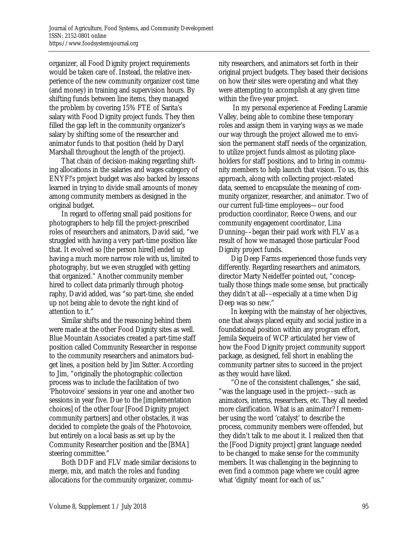organizer, all Food Dignity project requirements would be taken care of. Instead, the relative inexperience of the new community organizer cost time (and money) in training and supervision hours. By shifting funds between line items, they managed the problem by covering 15% FTE of Sarita's salary with Food Dignity project funds. They then filled the gap left in the community organizer's salary by shifting some of the researcher and animator funds to that position (held by Daryl Marshall throughout the length of the project).

 That chain of decision-making regarding shifting allocations in the salaries and wages category of ENYF!'s project budget was also backed by lessons learned in trying to divide small amounts of money among community members as designed in the original budget.

 In regard to offering small paid positions for photographers to help fill the project-prescribed roles of researchers and animators, David said, "we struggled with having a very part-time position like that. It evolved so [the person hired] ended up having a much more narrow role with us, limited to photography, but we even struggled with getting that organized." Another community member hired to collect data primarily through photography, David added, was "so part-time, she ended up not being able to devote the right kind of attention to it."

 Similar shifts and the reasoning behind them were made at the other Food Dignity sites as well. Blue Mountain Associates created a part-time staff position called Community Researcher in response to the community researchers and animators budget lines, a position held by Jim Sutter. According to Jim, "originally the photographic collection process was to include the facilitation of two 'Photovoice' sessions in year one and another two sessions in year five. Due to the [implementation choices] of the other four [Food Dignity project community partners] and other obstacles, it was decided to complete the goals of the Photovoice, but entirely on a local basis as set up by the Community Researcher position and the [BMA] steering committee."

 Both DDF and FLV made similar decisions to merge, mix, and match the roles and funding allocations for the community organizer, community researchers, and animators set forth in their original project budgets. They based their decisions on how their sites were operating and what they were attempting to accomplish at any given time within the five-year project.

 In my personal experience at Feeding Laramie Valley, being able to combine these temporary roles and assign them in varying ways as we made our way through the project allowed me to envision the permanent staff needs of the organization, to utilize project funds almost as piloting placeholders for staff positions, and to bring in community members to help launch that vision. To us, this approach, along with collecting project-related data, seemed to encapsulate the meaning of community organizer, researcher, and animator. Two of our current full-time employees—our food production coordinator, Reece Owens, and our community engagement coordinator, Lina Dunning––began their paid work with FLV as a result of how we managed those particular Food Dignity project funds.

 Dig Deep Farms experienced those funds very differently. Regarding researchers and animators, director Marty Neideffer pointed out, "conceptually those things made some sense, but practically they didn't at all––especially at a time when Dig Deep was so new."

 In keeping with the mainstay of her objectives, one that always placed equity and social justice in a foundational position within any program effort, Jemila Sequeira of WCP articulated her view of how the Food Dignity project community support package, as designed, fell short in enabling the community partner sites to succeed in the project as they would have liked.

 "One of the consistent challenges," she said, "was the language used in the project––such as animators, interns, researchers, etc. They all needed more clarification. What is an animator? I remember using the word 'catalyst' to describe the process, community members were offended, but they didn't talk to me about it. I realized then that the [Food Dignity project] grant language needed to be changed to make sense for the community members. It was challenging in the beginning to even find a common page where we could agree what 'dignity' meant for each of us."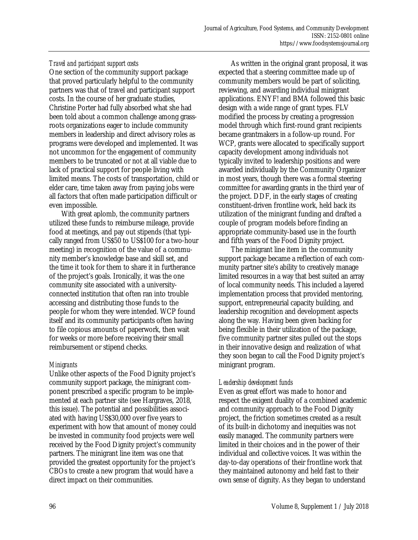## *Travel and participant support costs*

One section of the community support package that proved particularly helpful to the community partners was that of travel and participant support costs. In the course of her graduate studies, Christine Porter had fully absorbed what she had been told about a common challenge among grassroots organizations eager to include community members in leadership and direct advisory roles as programs were developed and implemented. It was not uncommon for the engagement of community members to be truncated or not at all viable due to lack of practical support for people living with limited means. The costs of transportation, child or elder care, time taken away from paying jobs were all factors that often made participation difficult or even impossible.

 With great aplomb, the community partners utilized these funds to reimburse mileage, provide food at meetings, and pay out stipends (that typically ranged from US\$50 to US\$100 for a two-hour meeting) in recognition of the value of a community member's knowledge base and skill set, and the time it took for them to share it in furtherance of the project's goals. Ironically, it was the one community site associated with a universityconnected institution that often ran into trouble accessing and distributing those funds to the people for whom they were intended. WCP found itself and its community participants often having to file copious amounts of paperwork, then wait for weeks or more before receiving their small reimbursement or stipend checks.

#### *Minigrants*

Unlike other aspects of the Food Dignity project's community support package, the minigrant component prescribed a specific program to be implemented at each partner site (see Hargraves, 2018, this issue). The potential and possibilities associated with having US\$30,000 over five years to experiment with how that amount of money could be invested in community food projects were well received by the Food Dignity project's community partners. The minigrant line item was one that provided the greatest opportunity for the project's CBOs to create a new program that would have a direct impact on their communities.

 As written in the original grant proposal, it was expected that a steering committee made up of community members would be part of soliciting, reviewing, and awarding individual minigrant applications. ENYF! and BMA followed this basic design with a wide range of grant types. FLV modified the process by creating a progression model through which first-round grant recipients became grantmakers in a follow-up round. For WCP, grants were allocated to specifically support capacity development among individuals not typically invited to leadership positions and were awarded individually by the Community Organizer in most years, though there was a formal steering committee for awarding grants in the third year of the project. DDF, in the early stages of creating constituent-driven frontline work, held back its utilization of the minigrant funding and drafted a couple of program models before finding an appropriate community-based use in the fourth and fifth years of the Food Dignity project.

 The minigrant line item in the community support package became a reflection of each community partner site's ability to creatively manage limited resources in a way that best suited an array of local community needs. This included a layered implementation process that provided mentoring, support, entrepreneurial capacity building, and leadership recognition and development aspects along the way. Having been given backing for being flexible in their utilization of the package, five community partner sites pulled out the stops in their innovative design and realization of what they soon began to call the Food Dignity project's minigrant program.

# *Leadership development funds*

Even as great effort was made to honor and respect the exigent duality of a combined academic and community approach to the Food Dignity project, the friction sometimes created as a result of its built-in dichotomy and inequities was not easily managed. The community partners were limited in their choices and in the power of their individual and collective voices. It was within the day-to-day operations of their frontline work that they maintained autonomy and held fast to their own sense of dignity. As they began to understand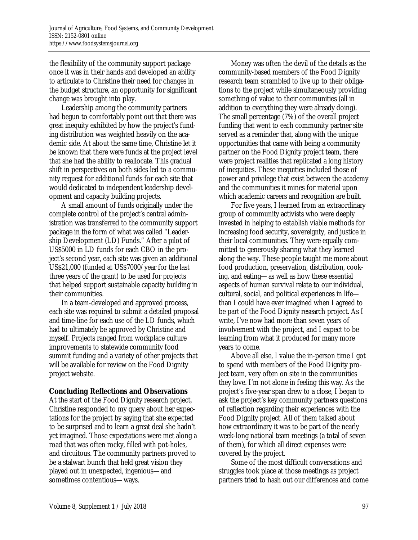the flexibility of the community support package once it was in their hands and developed an ability to articulate to Christine their need for changes in the budget structure, an opportunity for significant change was brought into play.

 Leadership among the community partners had begun to comfortably point out that there was great inequity exhibited by how the project's funding distribution was weighted heavily on the academic side. At about the same time, Christine let it be known that there were funds at the project level that she had the ability to reallocate. This gradual shift in perspectives on both sides led to a community request for additional funds for each site that would dedicated to independent leadership development and capacity building projects.

 A small amount of funds originally under the complete control of the project's central administration was transferred to the community support package in the form of what was called "Leadership Development (LD) Funds." After a pilot of US\$5000 in LD funds for each CBO in the project's second year, each site was given an additional US\$21,000 (funded at US\$7000/year for the last three years of the grant) to be used for projects that helped support sustainable capacity building in their communities.

 In a team-developed and approved process, each site was required to submit a detailed proposal and time-line for each use of the LD funds, which had to ultimately be approved by Christine and myself. Projects ranged from workplace culture improvements to statewide community food summit funding and a variety of other projects that will be available for review on the Food Dignity project website.

# **Concluding Reflections and Observations**

At the start of the Food Dignity research project, Christine responded to my query about her expectations for the project by saying that she expected to be surprised and to learn a great deal she hadn't yet imagined. Those expectations were met along a road that was often rocky, filled with pot-holes, and circuitous. The community partners proved to be a stalwart bunch that held great vision they played out in unexpected, ingenious—and sometimes contentious—ways.

 Money was often the devil of the details as the community-based members of the Food Dignity research team scrambled to live up to their obligations to the project while simultaneously providing something of value to their communities (all in addition to everything they were already doing). The small percentage (7%) of the overall project funding that went to each community partner site served as a reminder that, along with the unique opportunities that came with being a community partner on the Food Dignity project team, there were project realities that replicated a long history of inequities. These inequities included those of power and privilege that exist between the academy and the communities it mines for material upon which academic careers and recognition are built.

 For five years, I learned from an extraordinary group of community activists who were deeply invested in helping to establish viable methods for increasing food security, sovereignty, and justice in their local communities. They were equally committed to generously sharing what they learned along the way. These people taught me more about food production, preservation, distribution, cooking, and eating—as well as how these essential aspects of human survival relate to our individual, cultural, social, and political experiences in life than I could have ever imagined when I agreed to be part of the Food Dignity research project. As I write, I've now had more than seven years of involvement with the project, and I expect to be learning from what it produced for many more years to come.

 Above all else, I value the in-person time I got to spend with members of the Food Dignity project team, very often on site in the communities they love. I'm not alone in feeling this way. As the project's five-year span drew to a close, I began to ask the project's key community partners questions of reflection regarding their experiences with the Food Dignity project. All of them talked about how extraordinary it was to be part of the nearly week-long national team meetings (a total of seven of them), for which all direct expenses were covered by the project.

 Some of the most difficult conversations and struggles took place at those meetings as project partners tried to hash out our differences and come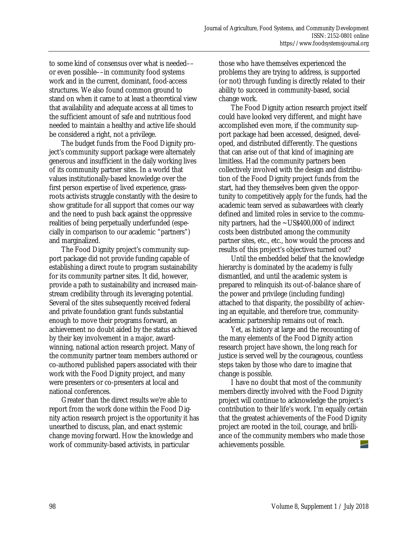to some kind of consensus over what is needed–– or even possible––in community food systems work and in the current, dominant, food-access structures. We also found common ground to stand on when it came to at least a theoretical view that availability and adequate access at all times to the sufficient amount of safe and nutritious food needed to maintain a healthy and active life should be considered a right, not a privilege.

 The budget funds from the Food Dignity project's community support package were alternately generous and insufficient in the daily working lives of its community partner sites. In a world that values institutionally-based knowledge over the first person expertise of lived experience, grassroots activists struggle constantly with the desire to show gratitude for all support that comes our way and the need to push back against the oppressive realities of being perpetually underfunded (especially in comparison to our academic "partners") and marginalized.

 The Food Dignity project's community support package did not provide funding capable of establishing a direct route to program sustainability for its community partner sites. It did, however, provide a path to sustainability and increased mainstream credibility through its leveraging potential. Several of the sites subsequently received federal and private foundation grant funds substantial enough to move their programs forward, an achievement no doubt aided by the status achieved by their key involvement in a major, awardwinning, national action research project. Many of the community partner team members authored or co-authored published papers associated with their work with the Food Dignity project, and many were presenters or co-presenters at local and national conferences.

 Greater than the direct results we're able to report from the work done within the Food Dignity action research project is the opportunity it has unearthed to discuss, plan, and enact systemic change moving forward. How the knowledge and work of community-based activists, in particular

those who have themselves experienced the problems they are trying to address, is supported (or not) through funding is directly related to their ability to succeed in community-based, social change work.

 The Food Dignity action research project itself could have looked very different, and might have accomplished even more, if the community support package had been accessed, designed, developed, and distributed differently. The questions that can arise out of that kind of imagining are limitless. Had the community partners been collectively involved with the design and distribution of the Food Dignity project funds from the start, had they themselves been given the opportunity to competitively apply for the funds, had the academic team served as subawardees with clearly defined and limited roles in service to the community partners, had the  $\sim$ US\$400,000 of indirect costs been distributed among the community partner sites, etc., etc., how would the process and results of this project's objectives turned out?

 Until the embedded belief that the knowledge hierarchy is dominated by the academy is fully dismantled, and until the academic system is prepared to relinquish its out-of-balance share of the power and privilege (including funding) attached to that disparity, the possibility of achieving an equitable, and therefore true, communityacademic partnership remains out of reach.

 Yet, as history at large and the recounting of the many elements of the Food Dignity action research project have shown, the long reach for justice is served well by the courageous, countless steps taken by those who dare to imagine that change is possible.

 I have no doubt that most of the community members directly involved with the Food Dignity project will continue to acknowledge the project's contribution to their life's work. I'm equally certain that the greatest achievements of the Food Dignity project are rooted in the toil, courage, and brilliance of the community members who made those achievements possible.